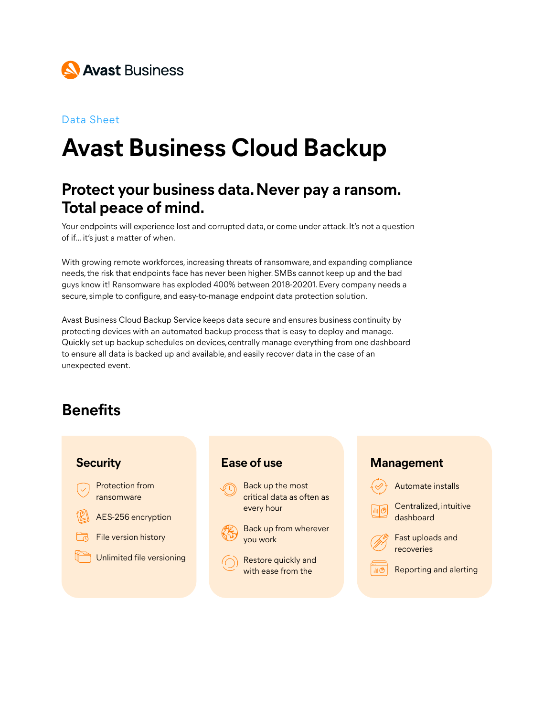

### Data Sheet

# **Avast Business Cloud Backup**

### **Protect your business data. Never pay a ransom. Total peace of mind.**

Your endpoints will experience lost and corrupted data, or come under attack. It's not a question of if… it's just a matter of when.

With growing remote workforces, increasing threats of ransomware, and expanding compliance needs, the risk that endpoints face has never been higher. SMBs cannot keep up and the bad guys know it! Ransomware has exploded 400% between 2018-20201. Every company needs a secure, simple to configure, and easy-to-manage endpoint data protection solution.

Avast Business Cloud Backup Service keeps data secure and ensures business continuity by protecting devices with an automated backup process that is easy to deploy and manage. Quickly set up backup schedules on devices, centrally manage everything from one dashboard to ensure all data is backed up and available, and easily recover data in the case of an unexpected event.

### **Benefits**

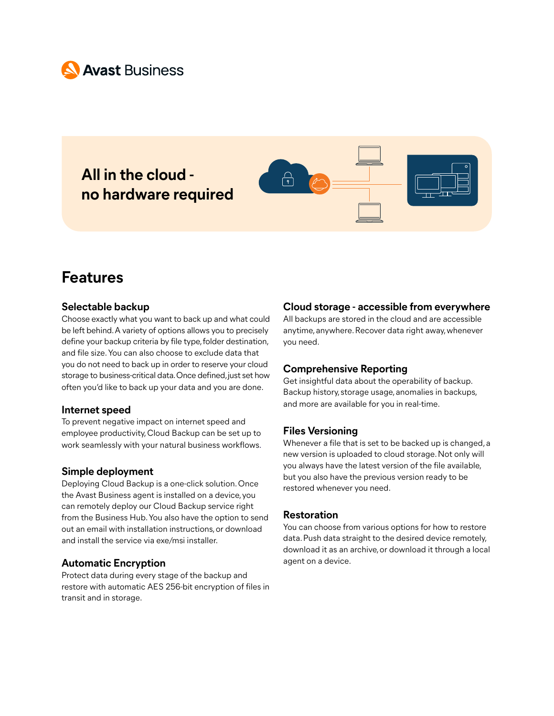

### **All in the cloud no hardware required**



## **Features**

#### **Selectable backup**

Choose exactly what you want to back up and what could be left behind. A variety of options allows you to precisely define your backup criteria by file type, folder destination, and file size. You can also choose to exclude data that you do not need to back up in order to reserve your cloud storage to business-critical data. Once defined, just set how often you'd like to back up your data and you are done.

#### **Internet speed**

To prevent negative impact on internet speed and employee productivity, Cloud Backup can be set up to work seamlessly with your natural business workflows.

#### **Simple deployment**

Deploying Cloud Backup is a one-click solution. Once the Avast Business agent is installed on a device, you can remotely deploy our Cloud Backup service right from the Business Hub. You also have the option to send out an email with installation instructions, or download and install the service via exe/msi installer.

#### **Automatic Encryption**

Protect data during every stage of the backup and restore with automatic AES 256-bit encryption of files in transit and in storage.

#### **Cloud storage - accessible from everywhere**

All backups are stored in the cloud and are accessible anytime, anywhere. Recover data right away, whenever you need.

#### **Comprehensive Reporting**

Get insightful data about the operability of backup. Backup history, storage usage, anomalies in backups, and more are available for you in real-time.

#### **Files Versioning**

Whenever a file that is set to be backed up is changed, a new version is uploaded to cloud storage. Not only will you always have the latest version of the file available, but you also have the previous version ready to be restored whenever you need.

#### **Restoration**

You can choose from various options for how to restore data. Push data straight to the desired device remotely, download it as an archive, or download it through a local agent on a device.